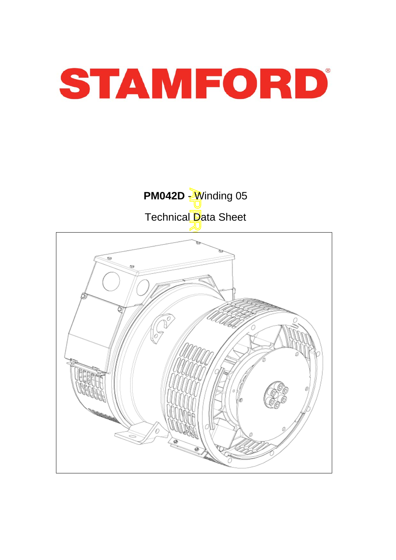



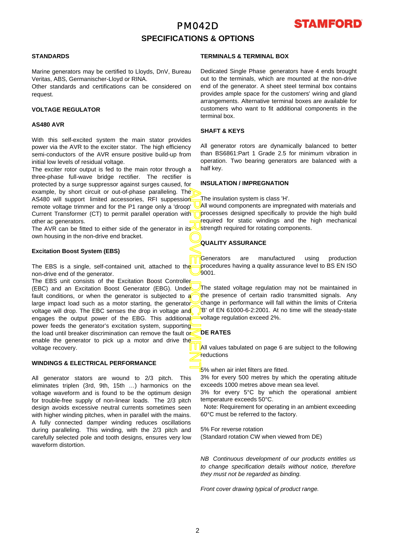## PM042D **SPECIFICATIONS & OPTIONS**



## **STANDARDS**

Marine generators may be certified to Lloyds, DnV, Bureau Veritas, ABS, Germanischer-Lloyd or RINA.

Other standards and certifications can be considered on request.

### **VOLTAGE REGULATOR**

#### **AS480 AVR**

With this self-excited system the main stator provides power via the AVR to the exciter stator. The high efficiency semi-conductors of the AVR ensure positive build-up from initial low levels of residual voltage.

The exciter rotor output is fed to the main rotor through a three-phase full-wave bridge rectifier. The rectifier is protected by a surge suppressor against surges caused, fo r example, by short circuit or out-of-phase paralleling. The AS480 will support limited accessories, RFI suppession remote voltage trimmer and for the P1 range only a 'droop' Current Transformer (CT) to permit parallel operation with other ac generators.

The AVR can be fitted to either side of the generator in its own housing in the non-drive end bracket.

#### **Excitation Boost System (EBS)**

The EBS is a single, self-contained unit, attached to the non-drive end of the generator.

APPROVED DOCUMENT The EBS unit consists of the Excitation Boost Controller (EBC) and an Excitation Boost Generator (EBG). Under fault conditions, or when the generator is subjected to a large impact load such as a motor starting, the generator voltage will drop. The EBC senses the drop in voltage and engages the output power of the EBG. This additional power feeds the generator's excitation system, supporting the load until breaker discrimination can remove the fault or enable the generator to pick up a motor and drive the voltage recovery.

## **WINDINGS & ELECTRICAL PERFORMANCE**

All generator stators are wound to 2/3 pitch. This eliminates triplen (3rd, 9th, 15th …) harmonics on the voltage waveform and is found to be the optimum design for trouble-free supply of non-linear loads. The 2/3 pitch design avoids excessive neutral currents sometimes seen with higher winding pitches, when in parallel with the mains. A fully connected damper winding reduces oscillations during paralleling. This winding, with the 2/3 pitch and carefully selected pole and tooth designs, ensures very low waveform distortion.

## **TERMINALS & TERMINAL BOX**

Dedicated Single Phase generators have 4 ends brought out to the terminals, which are mounted at the non-drive end of the generator. A sheet steel terminal box contains provides ample space for the customers' wiring and gland arrangements. Alternative terminal boxes are available fo r customers who want to fit additional components in the terminal box.

## **SHAFT & KEYS**

All generator rotors are dynamically balanced to better than BS6861:Part 1 Grade 2.5 for minimum vibration in operation. Two bearing generators are balanced with a half key.

#### **INSULATION / IMPREGNATION**

The insulation system is class 'H'.

All wound components are impregnated with materials and processes designed specifically to provide the high build required for static windings and the high mechanical strength required for rotating components.

## **QUALITY ASSURANCE**

Generators are manufactured using production procedures having a quality assurance level to BS EN ISO 9001.

The stated voltage regulation may not be maintained in the presence of certain radio transmitted signals. Any change in performance will fall within the limits of Criteria B' of EN 61000-6-2:2001. At no time will the steady-state voltage regulation exceed 2%.

## **DE RATES**

All values tabulated on page 6 are subiect to the following reductions

5% when air inlet filters are fitted.

3% for every 500 metres by which the operating altitude exceeds 1000 metres above mean sea level.

3% for every 5°C by which the operational ambient temperature exceeds 50°C.

 Note: Requirement for operating in an ambient exceeding 60°C must be referred to the factory.

5% For reverse rotation (Standard rotation CW when viewed from DE)

*NB Continuous development of our products entitles us to change specification details without notice, therefore they must not be regarded as binding.* 

*Front cover drawing typical of product range.*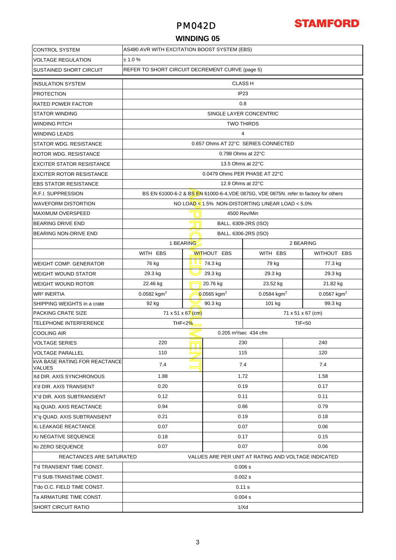## PM042D



## **WINDING 05**

| <b>CONTROL SYSTEM</b>                                                           | AS480 AVR WITH EXCITATION BOOST SYSTEM (EBS)    |            |                                   |                                                                                      |           |                         |  |  |  |  |
|---------------------------------------------------------------------------------|-------------------------------------------------|------------|-----------------------------------|--------------------------------------------------------------------------------------|-----------|-------------------------|--|--|--|--|
| <b>VOLTAGE REGULATION</b>                                                       | ± 1.0 %                                         |            |                                   |                                                                                      |           |                         |  |  |  |  |
| <b>SUSTAINED SHORT CIRCUIT</b>                                                  | REFER TO SHORT CIRCUIT DECREMENT CURVE (page 5) |            |                                   |                                                                                      |           |                         |  |  |  |  |
| <b>INSULATION SYSTEM</b>                                                        | <b>CLASS H</b>                                  |            |                                   |                                                                                      |           |                         |  |  |  |  |
| <b>PROTECTION</b>                                                               | IP <sub>23</sub>                                |            |                                   |                                                                                      |           |                         |  |  |  |  |
| <b>RATED POWER FACTOR</b>                                                       | 0.8                                             |            |                                   |                                                                                      |           |                         |  |  |  |  |
| <b>STATOR WINDING</b>                                                           | SINGLE LAYER CONCENTRIC                         |            |                                   |                                                                                      |           |                         |  |  |  |  |
| <b>WINDING PITCH</b>                                                            | <b>TWO THIRDS</b>                               |            |                                   |                                                                                      |           |                         |  |  |  |  |
| <b>WINDING LEADS</b>                                                            |                                                 | 4          |                                   |                                                                                      |           |                         |  |  |  |  |
| <b>STATOR WDG. RESISTANCE</b>                                                   |                                                 |            |                                   | 0.657 Ohms AT 22°C SERIES CONNECTED                                                  |           |                         |  |  |  |  |
| <b>ROTOR WDG. RESISTANCE</b>                                                    |                                                 |            | 0.798 Ohms at 22°C                |                                                                                      |           |                         |  |  |  |  |
| <b>EXCITER STATOR RESISTANCE</b>                                                |                                                 |            | 13.5 Ohms at 22°C                 |                                                                                      |           |                         |  |  |  |  |
| <b>EXCITER ROTOR RESISTANCE</b>                                                 |                                                 |            | 0.0479 Ohms PER PHASE AT 22°C     |                                                                                      |           |                         |  |  |  |  |
| <b>EBS STATOR RESISTANCE</b>                                                    |                                                 |            | 12.9 Ohms at 22°C                 |                                                                                      |           |                         |  |  |  |  |
| <b>R.F.I. SUPPRESSION</b>                                                       |                                                 |            |                                   | BS EN 61000-6-2 & BS EN 61000-6-4, VDE 0875G, VDE 0875N. refer to factory for others |           |                         |  |  |  |  |
| <b>WAVEFORM DISTORTION</b>                                                      |                                                 |            |                                   | NO LOAD < $1.5\%$ NON-DISTORTING LINEAR LOAD < $5.0\%$                               |           |                         |  |  |  |  |
| <b>MAXIMUM OVERSPEED</b>                                                        |                                                 |            | 4500 Rev/Min                      |                                                                                      |           |                         |  |  |  |  |
| <b>BEARING DRIVE END</b>                                                        |                                                 |            | BALL. 6309-2RS (ISO)              |                                                                                      |           |                         |  |  |  |  |
| BEARING NON-DRIVE END                                                           | BALL. 6306-2RS (ISO)                            |            |                                   |                                                                                      |           |                         |  |  |  |  |
|                                                                                 | 1 BEARING                                       |            |                                   |                                                                                      | 2 BEARING |                         |  |  |  |  |
|                                                                                 | WITH EBS                                        |            | <b>WITHOUT EBS</b>                | WITH EBS                                                                             |           | WITHOUT EBS             |  |  |  |  |
| <b>WEIGHT COMP. GENERATOR</b>                                                   | 76 kg                                           | <u>u u</u> | 74.3 kg                           | 79 kg                                                                                |           | 77.3 kg                 |  |  |  |  |
| <b>WEIGHT WOUND STATOR</b>                                                      | 29.3 kg                                         |            | 29.3 kg<br>29.3 kg                |                                                                                      | 29.3 kg   |                         |  |  |  |  |
| <b>WEIGHT WOUND ROTOR</b>                                                       | 22.46 kg                                        |            | 20.76 kg<br>23.52 kg              |                                                                                      | 21.82 kg  |                         |  |  |  |  |
| <b>WR<sup>2</sup> INERTIA</b>                                                   | 0.0582 kgm <sup>2</sup>                         |            | 0.0565 kgm <sup>2</sup>           | 0.0584 kgm <sup>2</sup>                                                              |           | 0.0567 kgm <sup>2</sup> |  |  |  |  |
| SHIPPING WEIGHTS in a crate                                                     | 90.3 kg<br>101 kg<br>92 kg                      |            |                                   |                                                                                      | 99.3 kg   |                         |  |  |  |  |
| <b>PACKING CRATE SIZE</b>                                                       | 71 x 51 x 67 $\frac{1}{2}$<br>71 x 51 x 67 (cm) |            |                                   |                                                                                      |           |                         |  |  |  |  |
| TELEPHONE INTERFERENCE                                                          | THF<2%<br><b>TIF&lt;50</b>                      |            |                                   |                                                                                      |           |                         |  |  |  |  |
| <b>COOLING AIR</b>                                                              |                                                 |            | 0.205 m <sup>3</sup> /sec 434 cfm |                                                                                      |           |                         |  |  |  |  |
| <b>VOLTAGE SERIES</b>                                                           | 220<br>230<br>240                               |            |                                   |                                                                                      |           |                         |  |  |  |  |
| <b>VOLTAGE PARALLEL</b>                                                         | 110                                             |            | 115                               |                                                                                      | 120       |                         |  |  |  |  |
| <b>KVA BASE RATING FOR REACTANCE</b><br><b>VALUES</b>                           | 7.4                                             |            | 7.4                               |                                                                                      | 7.4       |                         |  |  |  |  |
| Xd DIR. AXIS SYNCHRONOUS                                                        | 1.88                                            |            | 1.72                              |                                                                                      |           | 1.58                    |  |  |  |  |
| X'd DIR. AXIS TRANSIENT                                                         | 0.20<br>0.17<br>0.19                            |            |                                   |                                                                                      |           |                         |  |  |  |  |
| X"d DIR. AXIS SUBTRANSIENT                                                      | 0.12<br>0.11<br>0.11                            |            |                                   |                                                                                      |           |                         |  |  |  |  |
| Xq QUAD. AXIS REACTANCE                                                         | 0.94<br>0.86<br>0.79                            |            |                                   |                                                                                      |           |                         |  |  |  |  |
| X"q QUAD. AXIS SUBTRANSIENT                                                     | 0.21<br>0.19<br>0.18                            |            |                                   |                                                                                      |           |                         |  |  |  |  |
| XL LEAKAGE REACTANCE                                                            | 0.07<br>0.07<br>0.06                            |            |                                   |                                                                                      |           |                         |  |  |  |  |
| X <sub>2</sub> NEGATIVE SEQUENCE                                                | 0.18<br>0.15<br>0.17                            |            |                                   |                                                                                      |           |                         |  |  |  |  |
| X <sub>0</sub> ZERO SEQUENCE                                                    | 0.07<br>0.07<br>0.06                            |            |                                   |                                                                                      |           |                         |  |  |  |  |
| REACTANCES ARE SATURATED<br>VALUES ARE PER UNIT AT RATING AND VOLTAGE INDICATED |                                                 |            |                                   |                                                                                      |           |                         |  |  |  |  |
| T'd TRANSIENT TIME CONST.                                                       | 0.006 s                                         |            |                                   |                                                                                      |           |                         |  |  |  |  |
| T"d SUB-TRANSTIME CONST.                                                        | 0.002 s                                         |            |                                   |                                                                                      |           |                         |  |  |  |  |
| T'do O.C. FIELD TIME CONST.                                                     | 0.11 s                                          |            |                                   |                                                                                      |           |                         |  |  |  |  |
| Ta ARMATURE TIME CONST.                                                         | 0.004 s                                         |            |                                   |                                                                                      |           |                         |  |  |  |  |
| <b>SHORT CIRCUIT RATIO</b>                                                      | 1/Xd                                            |            |                                   |                                                                                      |           |                         |  |  |  |  |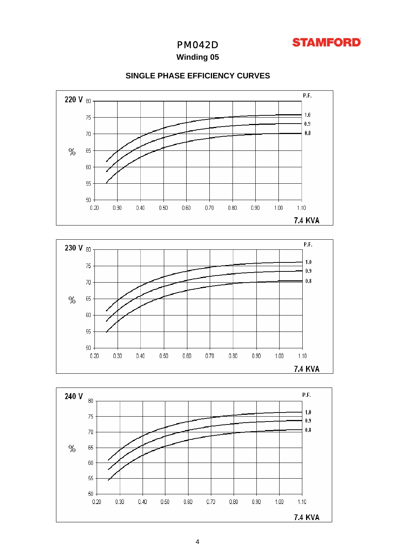

## PM042D

**Winding 05**



## **SINGLE PHASE EFFICIENCY CURVES**



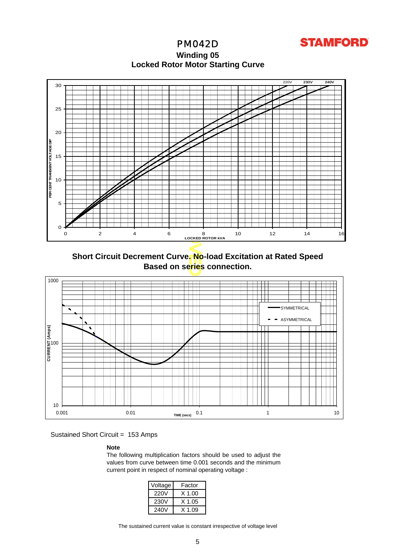**STAMFORD** 

PM042D **Winding 05 Locked Rotor Motor Startin g Curve**



**Short Circuit Decrement Curve. No-load Excitation at Rated Speed Based on series connection.**



Sustained Short Circuit = 153 Amps

#### **Note**

The following multiplication factors should be used to adjust the values from curve between time 0.001 seconds and the minimum current point in respect of nominal operating voltage :

| Voltage | Factor |
|---------|--------|
| 220V    | X 1.00 |
| 230V    | X 1.05 |
| 240V    | X 1 09 |

The sustained current value is constant irrespective of voltage level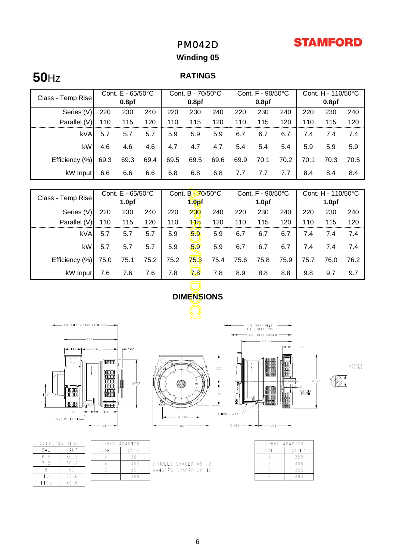## **STAMFORD**

## PM042D

## **Winding 05**

# **50**Hz **RATINGS**

|                   | Cont. $E - 65/50^{\circ}C$ |      | Cont. B - 70/50°C |      |      | Cont. F - 90/50°C |      |      | Cont. H - 110/50°C |      |      |      |
|-------------------|----------------------------|------|-------------------|------|------|-------------------|------|------|--------------------|------|------|------|
| Class - Temp Rise | 0.8 <sub>pf</sub>          |      | 0.8 <sub>pf</sub> |      |      | 0.8 <sub>pf</sub> |      |      | 0.8 <sub>pf</sub>  |      |      |      |
| Series (V)        | 220                        | 230  | 240               | 220  | 230  | 240               | 220  | 230  | 240                | 220  | 230  | 240  |
| Parallel (V)      | 110                        | 115  | 120               | 110  | 115  | 120               | 110  | 115  | 120                | 110  | 115  | 120  |
| <b>kVA</b>        | 5.7                        | 5.7  | 5.7               | 5.9  | 5.9  | 5.9               | 6.7  | 6.7  | 6.7                | 7.4  | 7.4  | 7.4  |
| kW                | 4.6                        | 4.6  | 4.6               | 4.7  | 4.7  | 4.7               | 5.4  | 5.4  | 5.4                | 5.9  | 5.9  | 5.9  |
| Efficiency (%)    | 69.3                       | 69.3 | 69.4              | 69.5 | 69.5 | 69.6              | 69.9 | 70.1 | 70.2               | 70.1 | 70.3 | 70.5 |
| kW Input          | 6.6                        | 6.6  | 6.6               | 6.8  | 6.8  | 6.8               | 7.7  | 7.7  | 7.7                | 8.4  | 8.4  | 8.4  |

| Class - Temp Rise         |         | Cont. E - 65/50°C |      | Cont. B-70/50°C   |                   | Cont. F - 90/50°C |                   |                                    | Cont. H - 110/50°C |                   |      |                  |
|---------------------------|---------|-------------------|------|-------------------|-------------------|-------------------|-------------------|------------------------------------|--------------------|-------------------|------|------------------|
|                           |         | 1.0 <sub>pf</sub> |      | 1.0 <sub>pf</sub> |                   |                   | 1.0 <sub>pf</sub> |                                    |                    | 1.0 <sub>pf</sub> |      |                  |
| Series (V)                | 220     | 230               | 240  | 220               | 230               | 240               | 220               | 230                                | 240                | 220               | 230  | 240              |
| Parallel (V)              | 110     | 115               | 120  | 110               | 115               | 120               | 110               | 115                                | 120                | 110               | 115  | 120              |
| kVA                       | 5.7     | 5.7               | 5.7  | 5.9               | 5.9               | 5.9               | 6.7               | 6.7                                | 6.7                | 7.4               | 7.4  | 7.4              |
| kW                        | 5.7     | 5.7               | 5.7  | 5.9               | 59                | 5.9               | 6.7               | 6.7                                | 6.7                | 7.4               | 7.4  | 7.4              |
| Efficiency (%)            | 75.0    | 75.1              | 75.2 | 75.2              | 75.3              | 75.4              | 75.6              | 75.8                               | 75.9               | 75.7              | 76.0 | 76.2             |
| kW Input                  | 7.6     | 7.6               | 7.6  | 7.8               | ⁄ای ا             | 7.8               | 8.9               | 8.8                                | 8.8                | 9.8               | 9.7  | 9.7              |
|                           |         |                   |      |                   | <b>DIMENSIONS</b> |                   |                   |                                    |                    |                   |      |                  |
|                           |         |                   |      |                   |                   |                   |                   |                                    |                    |                   |      |                  |
|                           |         |                   |      |                   |                   |                   |                   |                                    |                    |                   |      |                  |
| 446 WHEN FITTED WITH EBS- |         |                   |      |                   |                   |                   |                   | 541 (MAX) WHEN<br>FITTED WITH 'EBS |                    |                   |      |                  |
|                           |         |                   |      |                   |                   |                   |                   | - 457 (MAX) OVERALL<br>$-339,5$    |                    |                   |      |                  |
|                           |         | 电压阻器              |      |                   |                   |                   |                   |                                    |                    | $-65$             |      |                  |
|                           | 使用的     |                   |      |                   |                   |                   |                   |                                    |                    |                   |      | 42,018<br>42,009 |
|                           | meessal |                   |      |                   |                   | 220               |                   |                                    |                    |                   |      |                  |



**I-BRG APAPTOR** 

SAE

 $\overline{5}$ 

 $\sqrt{2}$ 

 $\emptyset$ "D"

 $361$ 

405

 $\frac{1}{45}$ 489

|     | COUPLING DISC |  |
|-----|---------------|--|
| SAE | " A N "       |  |
| 65  | 30.2          |  |
|     | 30.Z          |  |
|     |               |  |
| n   | 53.8          |  |
|     | 39.           |  |





 $-\frac{\cancel{0}42,018}{42,009}$ 



8-HOLES SPACED AS 12<br>8-Holes spaced as 12

| 2-BRG APAPTOR |     |  |  |  |  |
|---------------|-----|--|--|--|--|
| SAE           | "F" |  |  |  |  |
|               | 359 |  |  |  |  |
|               | 406 |  |  |  |  |
|               | 455 |  |  |  |  |
|               | 493 |  |  |  |  |